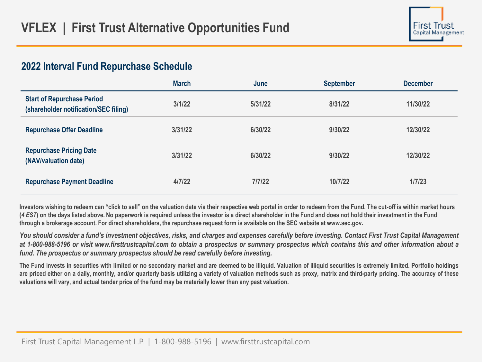## **2022 Interval Fund Repurchase Schedule**

|                                                                            | <b>March</b> | June    | <b>September</b> | <b>December</b> |
|----------------------------------------------------------------------------|--------------|---------|------------------|-----------------|
| <b>Start of Repurchase Period</b><br>(shareholder notification/SEC filing) | 3/1/22       | 5/31/22 | 8/31/22          | 11/30/22        |
| <b>Repurchase Offer Deadline</b>                                           | 3/31/22      | 6/30/22 | 9/30/22          | 12/30/22        |
| <b>Repurchase Pricing Date</b><br>(NAV/valuation date)                     | 3/31/22      | 6/30/22 | 9/30/22          | 12/30/22        |
| <b>Repurchase Payment Deadline</b>                                         | 4/7/22       | 7/7/22  | 10/7/22          | 1/7/23          |

**Investors wishing to redeem can "click to sell" on the valuation date via their respective web portal in order to redeem from the Fund. The cut-off is within market hours (***4 EST***) on the days listed above. No paperwork is required unless the investor is a direct shareholder in the Fund and does not hold their investment in the Fund through a brokerage account. For direct shareholders, the repurchase request form is available on the SEC website at [www.sec.gov](https://www.sec.gov/).**

You should consider a fund's investment objectives, risks, and charges and expenses carefully before investing. Contact First Trust Capital Management at 1-800-988-5196 or visit www.firsttrustcapital.com to obtain a prospectus or summary prospectus which contains this and other information about a *fund. The prospectus or summary prospectus should be read carefully before investing.*

The Fund invests in securities with limited or no secondary market and are deemed to be illiquid. Valuation of illiquid securities is extremely limited. Portfolio holdings are priced either on a daily, monthly, and/or quarterly basis utilizing a variety of valuation methods such as proxy, matrix and third-party pricing. The accuracy of these valuations will vary, and actual tender price of the fund may be materially lower than any past valuation.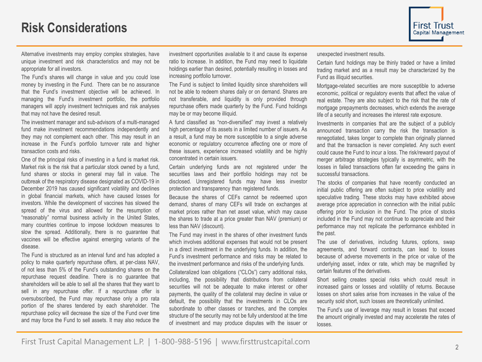

Alternative investments may employ complex strategies, have unique investment and risk characteristics and may not be appropriate for all investors.

The Fund's shares will change in value and you could lose money by investing in the Fund. There can be no assurance that the Fund's investment objective will be achieved. In managing the Fund's investment portfolio, the portfolio managers will apply investment techniques and risk analyses that may not have the desired result.

The investment manager and sub-advisors of a multi-managed fund make investment recommendations independently and they may not complement each other. This may result in an increase in the Fund's portfolio turnover rate and higher transaction costs and risks.

One of the principal risks of investing in a fund is market risk. Market risk is the risk that a particular stock owned by a fund, fund shares or stocks in general may fall in value. The outbreak of the respiratory disease designated as COVID-19 in December 2019 has caused significant volatility and declines in global financial markets, which have caused losses for investors. While the development of vaccines has slowed the spread of the virus and allowed for the resumption of "reasonably" normal business activity in the United States, many countries continue to impose lockdown measures to slow the spread. Additionally, there is no guarantee that vaccines will be effective against emerging variants of the disease.

The Fund is structured as an interval fund and has adopted a policy to make quarterly repurchase offers, at per-class NAV, of not less than 5% of the Fund's outstanding shares on the repurchase request deadline. There is no guarantee that shareholders will be able to sell all the shares that they want to sell in any repurchase offer. If a repurchase offer is oversubscribed, the Fund may repurchase only a pro rata portion of the shares tendered by each shareholder. The repurchase policy will decrease the size of the Fund over time and may force the Fund to sell assets. It may also reduce the

investment opportunities available to it and cause its expense ratio to increase. In addition, the Fund may need to liquidate holdings earlier than desired, potentially resulting in losses and increasing portfolio turnover.

The Fund is subject to limited liquidity since shareholders will not be able to redeem shares daily or on demand. Shares are not transferable, and liquidity is only provided through repurchase offers made quarterly by the Fund. Fund holdings may be or may become illiquid.

A fund classified as "non-diversified" may invest a relatively high percentage of its assets in a limited number of issuers. As a result, a fund may be more susceptible to a single adverse economic or regulatory occurrence affecting one or more of these issuers, experience increased volatility and be highly concentrated in certain issuers.

Certain underlying funds are not registered under the securities laws and their portfolio holdings may not be disclosed. Unregistered funds may have less investor protection and transparency than registered funds.

Because the shares of CEFs cannot be redeemed upon demand, shares of many CEFs will trade on exchanges at market prices rather than net asset value, which may cause the shares to trade at a price greater than NAV (premium) or less than NAV (discount).

The Fund may invest in the shares of other investment funds which involves additional expenses that would not be present in a direct investment in the underlying funds. In addition, the Fund's investment performance and risks may be related to the investment performance and risks of the underlying funds.

Collateralized loan obligations ("CLOs") carry additional risks, including, the possibility that distributions from collateral securities will not be adequate to make interest or other payments, the quality of the collateral may decline in value or default, the possibility that the investments in CLOs are subordinate to other classes or tranches, and the complex structure of the security may not be fully understood at the time of investment and may produce disputes with the issuer or unexpected investment results.

Certain fund holdings may be thinly traded or have a limited trading market and as a result may be characterized by the Fund as illiquid securities.

Mortgage-related securities are more susceptible to adverse economic, political or regulatory events that affect the value of real estate. They are also subject to the risk that the rate of mortgage prepayments decreases, which extends the average life of a security and increases the interest rate exposure.

Investments in companies that are the subject of a publicly announced transaction carry the risk the transaction is renegotiated, takes longer to complete than originally planned and that the transaction is never completed. Any such event could cause the Fund to incur a loss. The risk/reward payout of merger arbitrage strategies typically is asymmetric, with the losses in failed transactions often far exceeding the gains in successful transactions.

The stocks of companies that have recently conducted an initial public offering are often subject to price volatility and speculative trading. These stocks may have exhibited above average price appreciation in connection with the initial public offering prior to inclusion in the Fund. The price of stocks included in the Fund may not continue to appreciate and their performance may not replicate the performance exhibited in the past.

The use of derivatives, including futures, options, swap agreements, and forward contracts, can lead to losses because of adverse movements in the price or value of the underlying asset, index or rate, which may be magnified by certain features of the derivatives.

Short selling creates special risks which could result in increased gains or losses and volatility of returns. Because losses on short sales arise from increases in the value of the security sold short, such losses are theoretically unlimited.

The Fund's use of leverage may result in losses that exceed the amount originally invested and may accelerate the rates of losses.